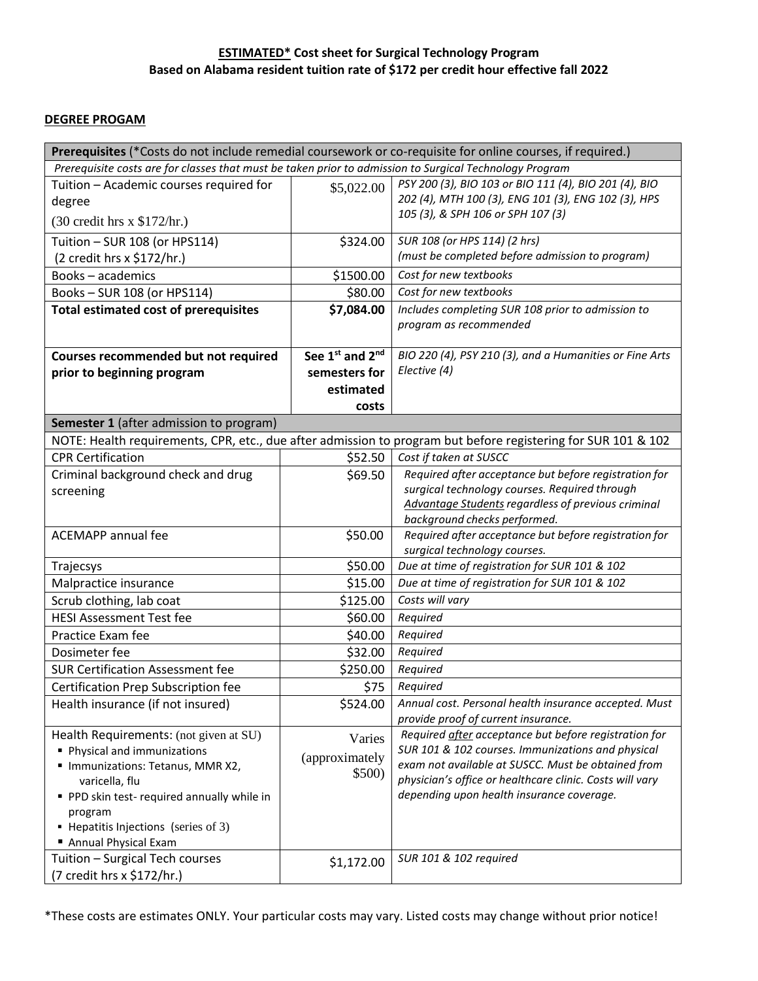## **ESTIMATED\* Cost sheet for Surgical Technology Program Based on Alabama resident tuition rate of \$172 per credit hour effective fall 2022**

## **DEGREE PROGAM**

| Prerequisites (*Costs do not include remedial coursework or co-requisite for online courses, if required.)                                                      |                 |                                                                                                       |  |
|-----------------------------------------------------------------------------------------------------------------------------------------------------------------|-----------------|-------------------------------------------------------------------------------------------------------|--|
| Prerequisite costs are for classes that must be taken prior to admission to Surgical Technology Program                                                         |                 |                                                                                                       |  |
| Tuition - Academic courses required for                                                                                                                         | \$5,022.00      | PSY 200 (3), BIO 103 or BIO 111 (4), BIO 201 (4), BIO                                                 |  |
| degree                                                                                                                                                          |                 | 202 (4), MTH 100 (3), ENG 101 (3), ENG 102 (3), HPS                                                   |  |
| (30 credit hrs x \$172/hr.)                                                                                                                                     |                 | 105 (3), & SPH 106 or SPH 107 (3)                                                                     |  |
| Tuition - SUR 108 (or HPS114)                                                                                                                                   | \$324.00        | SUR 108 (or HPS 114) (2 hrs)                                                                          |  |
| (2 credit hrs x \$172/hr.)                                                                                                                                      |                 | (must be completed before admission to program)                                                       |  |
| <b>Books-academics</b>                                                                                                                                          | \$1500.00       | Cost for new textbooks                                                                                |  |
| Books-SUR 108 (or HPS114)                                                                                                                                       | \$80.00         | Cost for new textbooks                                                                                |  |
| <b>Total estimated cost of prerequisites</b>                                                                                                                    | \$7,084.00      | Includes completing SUR 108 prior to admission to                                                     |  |
|                                                                                                                                                                 |                 | program as recommended                                                                                |  |
|                                                                                                                                                                 |                 |                                                                                                       |  |
| Courses recommended but not required                                                                                                                            | See 1st and 2nd | BIO 220 (4), PSY 210 (3), and a Humanities or Fine Arts                                               |  |
| prior to beginning program                                                                                                                                      | semesters for   | Elective (4)                                                                                          |  |
|                                                                                                                                                                 | estimated       |                                                                                                       |  |
|                                                                                                                                                                 | costs           |                                                                                                       |  |
| <b>Semester 1</b> (after admission to program)<br>NOTE: Health requirements, CPR, etc., due after admission to program but before registering for SUR 101 & 102 |                 |                                                                                                       |  |
| <b>CPR Certification</b>                                                                                                                                        | \$52.50         | Cost if taken at SUSCC                                                                                |  |
|                                                                                                                                                                 |                 | Required after acceptance but before registration for                                                 |  |
| Criminal background check and drug                                                                                                                              | \$69.50         | surgical technology courses. Required through                                                         |  |
| screening                                                                                                                                                       |                 | Advantage Students regardless of previous criminal                                                    |  |
|                                                                                                                                                                 |                 | background checks performed.                                                                          |  |
| <b>ACEMAPP</b> annual fee                                                                                                                                       | \$50.00         | Required after acceptance but before registration for                                                 |  |
|                                                                                                                                                                 |                 | surgical technology courses.                                                                          |  |
| Trajecsys                                                                                                                                                       | \$50.00         | Due at time of registration for SUR 101 & 102                                                         |  |
| Malpractice insurance                                                                                                                                           | \$15.00         | Due at time of registration for SUR 101 & 102                                                         |  |
| Scrub clothing, lab coat                                                                                                                                        | \$125.00        | Costs will vary                                                                                       |  |
| <b>HESI Assessment Test fee</b>                                                                                                                                 | \$60.00         | Required                                                                                              |  |
| Practice Exam fee                                                                                                                                               | \$40.00         | Required                                                                                              |  |
| Dosimeter fee                                                                                                                                                   | \$32.00         | Required                                                                                              |  |
| <b>SUR Certification Assessment fee</b>                                                                                                                         | \$250.00        | Required                                                                                              |  |
| Certification Prep Subscription fee                                                                                                                             | \$75            | Required                                                                                              |  |
| Health insurance (if not insured)                                                                                                                               | \$524.00        | Annual cost. Personal health insurance accepted. Must                                                 |  |
|                                                                                                                                                                 |                 | provide proof of current insurance.                                                                   |  |
| Health Requirements: (not given at SU)                                                                                                                          | Varies          | Required after acceptance but before registration for                                                 |  |
| Physical and immunizations                                                                                                                                      | (approximately  | SUR 101 & 102 courses. Immunizations and physical                                                     |  |
| " Immunizations: Tetanus, MMR X2,                                                                                                                               | \$500)          | exam not available at SUSCC. Must be obtained from                                                    |  |
| varicella, flu                                                                                                                                                  |                 | physician's office or healthcare clinic. Costs will vary<br>depending upon health insurance coverage. |  |
| PPD skin test-required annually while in<br>program                                                                                                             |                 |                                                                                                       |  |
| • Hepatitis Injections (series of 3)                                                                                                                            |                 |                                                                                                       |  |
| <b>Annual Physical Exam</b>                                                                                                                                     |                 |                                                                                                       |  |
| Tuition - Surgical Tech courses                                                                                                                                 | \$1,172.00      | SUR 101 & 102 required                                                                                |  |
| (7 credit hrs x \$172/hr.)                                                                                                                                      |                 |                                                                                                       |  |

\*These costs are estimates ONLY. Your particular costs may vary. Listed costs may change without prior notice!